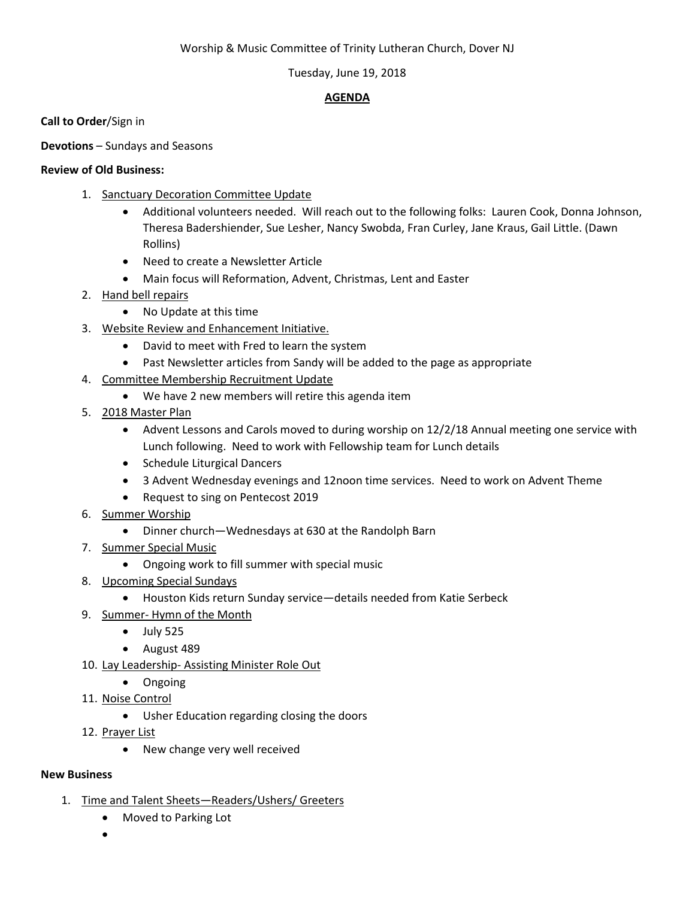## Worship & Music Committee of Trinity Lutheran Church, Dover NJ

## Tuesday, June 19, 2018

# **AGENDA**

**Call to Order**/Sign in

**Devotions** – Sundays and Seasons

## **Review of Old Business:**

- 1. Sanctuary Decoration Committee Update
	- Additional volunteers needed. Will reach out to the following folks: Lauren Cook, Donna Johnson, Theresa Badershiender, Sue Lesher, Nancy Swobda, Fran Curley, Jane Kraus, Gail Little. (Dawn Rollins)
	- Need to create a Newsletter Article
	- Main focus will Reformation, Advent, Christmas, Lent and Easter
- 2. Hand bell repairs
	- No Update at this time
- 3. Website Review and Enhancement Initiative.
	- David to meet with Fred to learn the system
	- Past Newsletter articles from Sandy will be added to the page as appropriate
- 4. Committee Membership Recruitment Update
	- We have 2 new members will retire this agenda item
- 5. 2018 Master Plan
	- Advent Lessons and Carols moved to during worship on 12/2/18 Annual meeting one service with Lunch following. Need to work with Fellowship team for Lunch details
	- Schedule Liturgical Dancers
	- 3 Advent Wednesday evenings and 12noon time services. Need to work on Advent Theme
	- Request to sing on Pentecost 2019
- 6. Summer Worship
	- Dinner church—Wednesdays at 630 at the Randolph Barn
- 7. Summer Special Music
	- Ongoing work to fill summer with special music
- 8. Upcoming Special Sundays
	- Houston Kids return Sunday service—details needed from Katie Serbeck
- 9. Summer- Hymn of the Month
	- $\bullet$  July 525
	- August 489
- 10. Lay Leadership- Assisting Minister Role Out
	- Ongoing
- 11. Noise Control
	- Usher Education regarding closing the doors
- 12. Prayer List
	- New change very well received

## **New Business**

- 1. Time and Talent Sheets—Readers/Ushers/ Greeters
	- Moved to Parking Lot
	- •